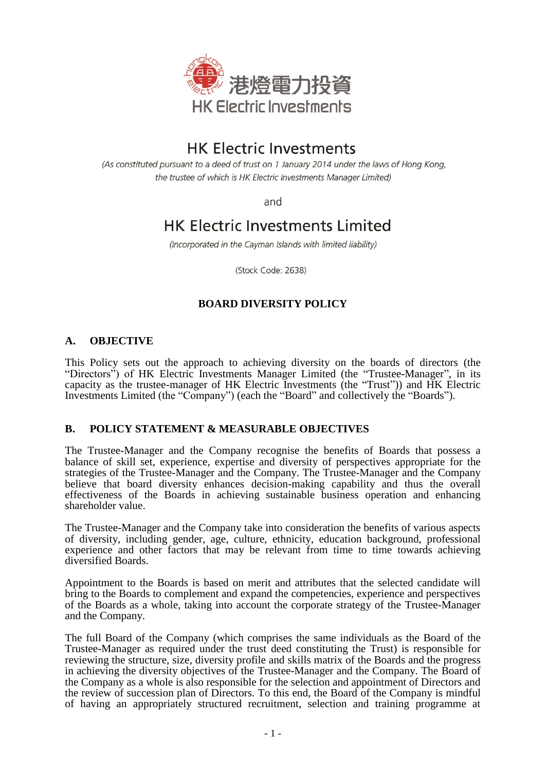

# **HK Electric Investments**

(As constituted pursuant to a deed of trust on 1 January 2014 under the laws of Hong Kong, the trustee of which is HK Electric Investments Manager Limited)

and

## **HK Electric Investments Limited**

(Incorporated in the Cayman Islands with limited liability)

(Stock Code: 2638)

## **BOARD DIVERSITY POLICY**

## **A. OBJECTIVE**

This Policy sets out the approach to achieving diversity on the boards of directors (the "Directors") of HK Electric Investments Manager Limited (the "Trustee-Manager", in its capacity as the trustee-manager of HK Electric Investments (the "Trust")) and HK Electric Investments Limited (the "Company") (each the "Board" and collectively the "Boards").

### **B. POLICY STATEMENT & MEASURABLE OBJECTIVES**

The Trustee-Manager and the Company recognise the benefits of Boards that possess a balance of skill set, experience, expertise and diversity of perspectives appropriate for the strategies of the Trustee-Manager and the Company. The Trustee-Manager and the Company believe that board diversity enhances decision-making capability and thus the overall effectiveness of the Boards in achieving sustainable business operation and enhancing shareholder value.

The Trustee-Manager and the Company take into consideration the benefits of various aspects of diversity, including gender, age, culture, ethnicity, education background, professional experience and other factors that may be relevant from time to time towards achieving diversified Boards.

Appointment to the Boards is based on merit and attributes that the selected candidate will bring to the Boards to complement and expand the competencies, experience and perspectives of the Boards as a whole, taking into account the corporate strategy of the Trustee-Manager and the Company.

The full Board of the Company (which comprises the same individuals as the Board of the Trustee-Manager as required under the trust deed constituting the Trust) is responsible for reviewing the structure, size, diversity profile and skills matrix of the Boards and the progress in achieving the diversity objectives of the Trustee-Manager and the Company. The Board of the Company as a whole is also responsible for the selection and appointment of Directors and the review of succession plan of Directors. To this end, the Board of the Company is mindful of having an appropriately structured recruitment, selection and training programme at